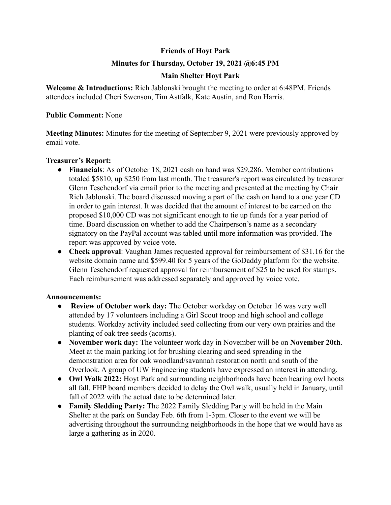# **Friends of Hoyt Park**

## **Minutes for Thursday, October 19, 2021 @6:45 PM**

# **Main Shelter Hoyt Park**

**Welcome & Introductions:** Rich Jablonski brought the meeting to order at 6:48PM. Friends attendees included Cheri Swenson, Tim Astfalk, Kate Austin, and Ron Harris.

## **Public Comment:** None

**Meeting Minutes:** Minutes for the meeting of September 9, 2021 were previously approved by email vote.

### **Treasurer's Report:**

- **Financials**: As of October 18, 2021 cash on hand was \$29,286. Member contributions totaled \$5810, up \$250 from last month. The treasurer's report was circulated by treasurer Glenn Teschendorf via email prior to the meeting and presented at the meeting by Chair Rich Jablonski. The board discussed moving a part of the cash on hand to a one year CD in order to gain interest. It was decided that the amount of interest to be earned on the proposed \$10,000 CD was not significant enough to tie up funds for a year period of time. Board discussion on whether to add the Chairperson's name as a secondary signatory on the PayPal account was tabled until more information was provided. The report was approved by voice vote.
- **Check approval**: Vaughan James requested approval for reimbursement of \$31.16 for the website domain name and \$599.40 for 5 years of the GoDaddy platform for the website. Glenn Teschendorf requested approval for reimbursement of \$25 to be used for stamps. Each reimbursement was addressed separately and approved by voice vote.

#### **Announcements:**

- **● Review of October work day:** The October workday on October 16 was very well attended by 17 volunteers including a Girl Scout troop and high school and college students. Workday activity included seed collecting from our very own prairies and the planting of oak tree seeds (acorns).
- **● November work day:** The volunteer work day in November will be on **November 20th**. Meet at the main parking lot for brushing clearing and seed spreading in the demonstration area for oak woodland/savannah restoration north and south of the Overlook. A group of UW Engineering students have expressed an interest in attending.
- **● Owl Walk 2022:** Hoyt Park and surrounding neighborhoods have been hearing owl hoots all fall. FHP board members decided to delay the Owl walk, usually held in January, until fall of 2022 with the actual date to be determined later.
- **● Family Sledding Party:** The 2022 Family Sledding Party will be held in the Main Shelter at the park on Sunday Feb. 6th from 1-3pm. Closer to the event we will be advertising throughout the surrounding neighborhoods in the hope that we would have as large a gathering as in 2020.